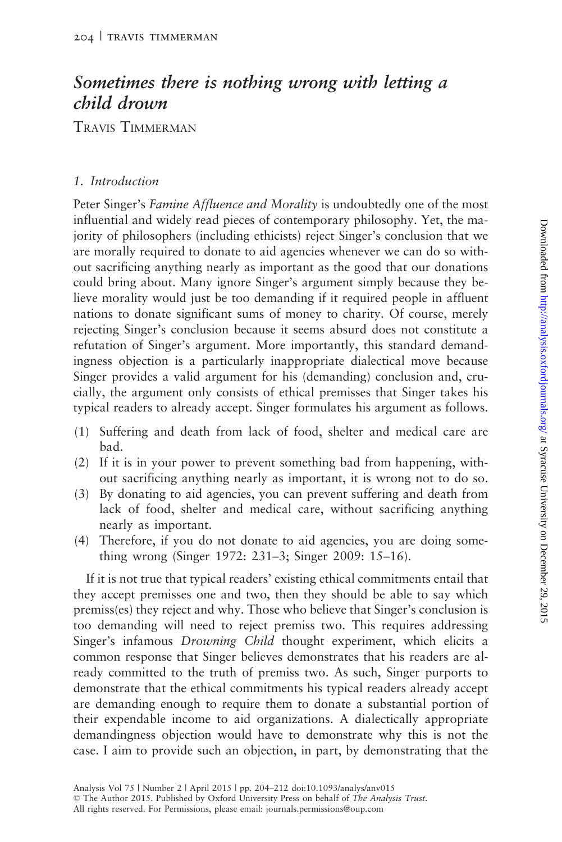# Sometimes there is nothing wrong with letting a child drown

TRAVIS TIMMERMAN

## 1. Introduction

Peter Singer's Famine Affluence and Morality is undoubtedly one of the most influential and widely read pieces of contemporary philosophy. Yet, the majority of philosophers (including ethicists) reject Singer's conclusion that we are morally required to donate to aid agencies whenever we can do so without sacrificing anything nearly as important as the good that our donations could bring about. Many ignore Singer's argument simply because they believe morality would just be too demanding if it required people in affluent nations to donate significant sums of money to charity. Of course, merely rejecting Singer's conclusion because it seems absurd does not constitute a refutation of Singer's argument. More importantly, this standard demandingness objection is a particularly inappropriate dialectical move because Singer provides a valid argument for his (demanding) conclusion and, crucially, the argument only consists of ethical premisses that Singer takes his typical readers to already accept. Singer formulates his argument as follows.

- (1) Suffering and death from lack of food, shelter and medical care are bad.
- (2) If it is in your power to prevent something bad from happening, without sacrificing anything nearly as important, it is wrong not to do so.
- (3) By donating to aid agencies, you can prevent suffering and death from lack of food, shelter and medical care, without sacrificing anything nearly as important.
- (4) Therefore, if you do not donate to aid agencies, you are doing something wrong ([Singer 1972](#page-8-0): 231–3; [Singer 2009](#page-8-0): 15–16).

If it is not true that typical readers' existing ethical commitments entail that they accept premisses one and two, then they should be able to say which premiss(es) they reject and why. Those who believe that Singer's conclusion is too demanding will need to reject premiss two. This requires addressing Singer's infamous Drowning Child thought experiment, which elicits a common response that Singer believes demonstrates that his readers are already committed to the truth of premiss two. As such, Singer purports to demonstrate that the ethical commitments his typical readers already accept are demanding enough to require them to donate a substantial portion of their expendable income to aid organizations. A dialectically appropriate demandingness objection would have to demonstrate why this is not the case. I aim to provide such an objection, in part, by demonstrating that the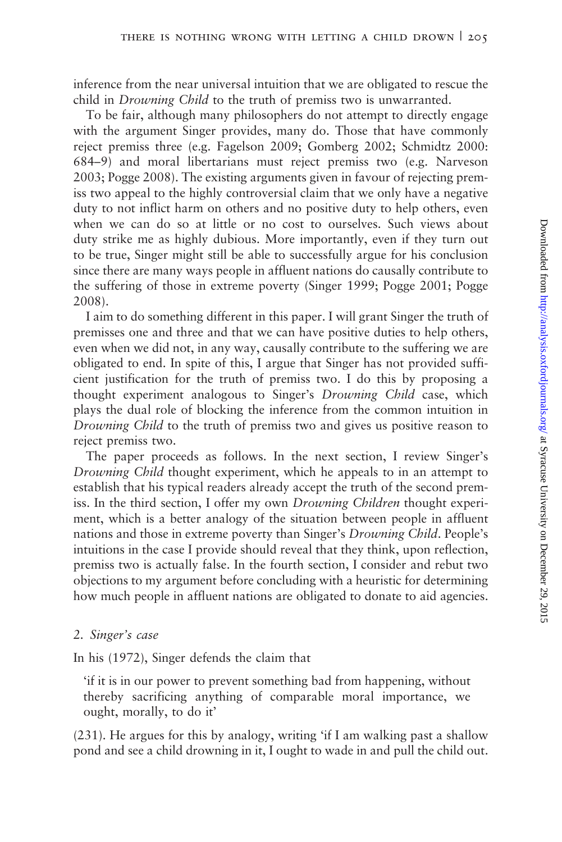inference from the near universal intuition that we are obligated to rescue the child in *Drowning Child* to the truth of premiss two is unwarranted.

To be fair, although many philosophers do not attempt to directly engage with the argument Singer provides, many do. Those that have commonly reject premiss three (e.g. [Fagelson 2009; Gomberg 2002; Schmidtz 2000:](#page-8-0) 684–9) and moral libertarians must reject premiss two (e.g. [Narveson](#page-8-0) [2003; Pogge 2008\)](#page-8-0). The existing arguments given in favour of rejecting premiss two appeal to the highly controversial claim that we only have a negative duty to not inflict harm on others and no positive duty to help others, even when we can do so at little or no cost to ourselves. Such views about duty strike me as highly dubious. More importantly, even if they turn out to be true, Singer might still be able to successfully argue for his conclusion since there are many ways people in affluent nations do causally contribute to the suffering of those in extreme poverty [\(Singer 1999](#page-8-0); [Pogge 2001; Pogge](#page-8-0) [2008\)](#page-8-0).

I aim to do something different in this paper. I will grant Singer the truth of premisses one and three and that we can have positive duties to help others, even when we did not, in any way, causally contribute to the suffering we are obligated to end. In spite of this, I argue that Singer has not provided sufficient justification for the truth of premiss two. I do this by proposing a thought experiment analogous to Singer's Drowning Child case, which plays the dual role of blocking the inference from the common intuition in Drowning Child to the truth of premiss two and gives us positive reason to reject premiss two.

The paper proceeds as follows. In the next section, I review Singer's Drowning Child thought experiment, which he appeals to in an attempt to establish that his typical readers already accept the truth of the second premiss. In the third section, I offer my own *Drowning Children* thought experiment, which is a better analogy of the situation between people in affluent nations and those in extreme poverty than Singer's Drowning Child. People's intuitions in the case I provide should reveal that they think, upon reflection, premiss two is actually false. In the fourth section, I consider and rebut two objections to my argument before concluding with a heuristic for determining how much people in affluent nations are obligated to donate to aid agencies.

## 2. Singer's case

In his (1972), Singer defends the claim that

'if it is in our power to prevent something bad from happening, without thereby sacrificing anything of comparable moral importance, we ought, morally, to do it'

(231). He argues for this by analogy, writing 'if I am walking past a shallow pond and see a child drowning in it, I ought to wade in and pull the child out.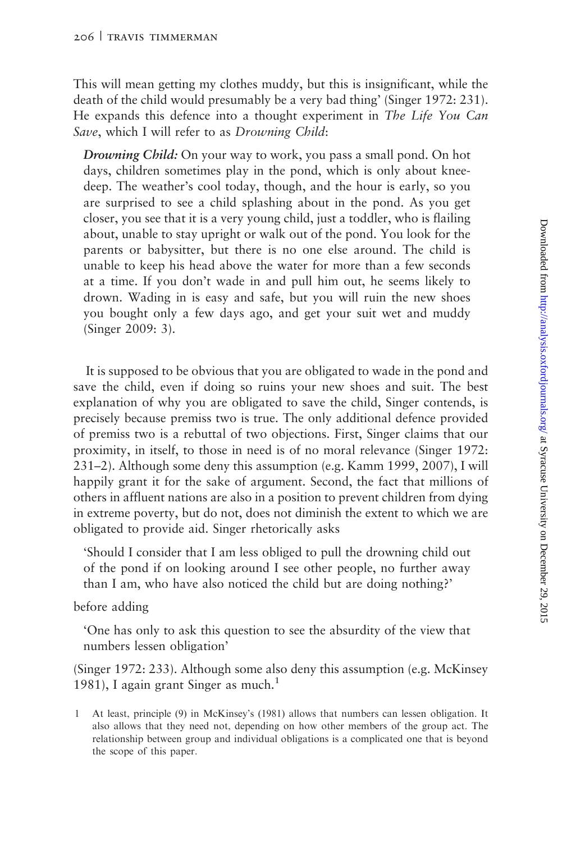This will mean getting my clothes muddy, but this is insignificant, while the death of the child would presumably be a very bad thing' ([Singer 1972:](#page-8-0) 231). He expands this defence into a thought experiment in The Life You Can Save, which I will refer to as Drowning Child:

**Drowning Child:** On your way to work, you pass a small pond. On hot days, children sometimes play in the pond, which is only about kneedeep. The weather's cool today, though, and the hour is early, so you are surprised to see a child splashing about in the pond. As you get closer, you see that it is a very young child, just a toddler, who is flailing about, unable to stay upright or walk out of the pond. You look for the parents or babysitter, but there is no one else around. The child is unable to keep his head above the water for more than a few seconds at a time. If you don't wade in and pull him out, he seems likely to drown. Wading in is easy and safe, but you will ruin the new shoes you bought only a few days ago, and get your suit wet and muddy ([Singer 2009:](#page-8-0) 3).

It is supposed to be obvious that you are obligated to wade in the pond and save the child, even if doing so ruins your new shoes and suit. The best explanation of why you are obligated to save the child, Singer contends, is precisely because premiss two is true. The only additional defence provided of premiss two is a rebuttal of two objections. First, Singer claims that our proximity, in itself, to those in need is of no moral relevance ([Singer 1972:](#page-8-0) 231–2). Although some deny this assumption (e.g. [Kamm 1999](#page-8-0), [2007](#page-8-0)), I will happily grant it for the sake of argument. Second, the fact that millions of others in affluent nations are also in a position to prevent children from dying in extreme poverty, but do not, does not diminish the extent to which we are obligated to provide aid. Singer rhetorically asks

'Should I consider that I am less obliged to pull the drowning child out of the pond if on looking around I see other people, no further away than I am, who have also noticed the child but are doing nothing?'

before adding

'One has only to ask this question to see the absurdity of the view that numbers lessen obligation'

([Singer 1972:](#page-8-0) 233). Although some also deny this assumption (e.g. [McKinsey](#page-8-0) [1981\)](#page-8-0), I again grant Singer as much.<sup>1</sup>

1 At least, principle (9) in McKinsey's (1981) allows that numbers can lessen obligation. It also allows that they need not, depending on how other members of the group act. The relationship between group and individual obligations is a complicated one that is beyond the scope of this paper.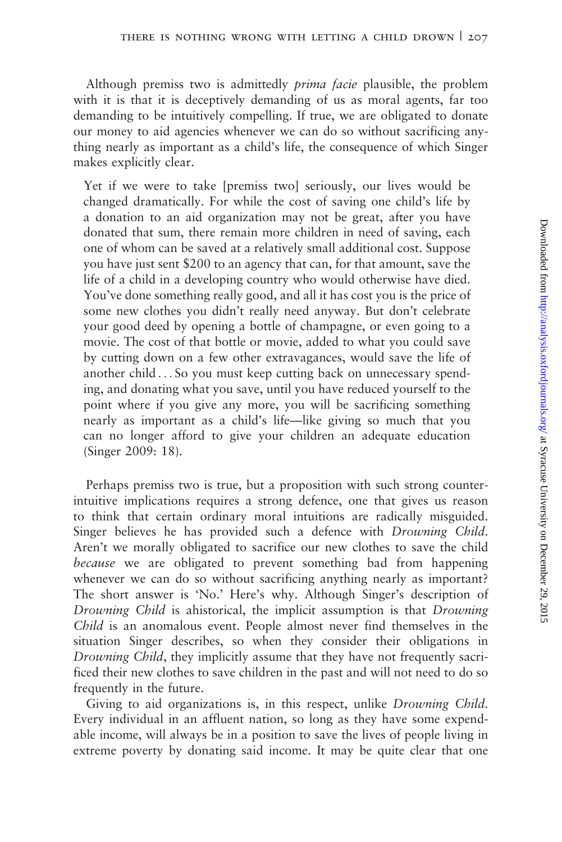Although premiss two is admittedly *prima facie* plausible, the problem with it is that it is deceptively demanding of us as moral agents, far too demanding to be intuitively compelling. If true, we are obligated to donate our money to aid agencies whenever we can do so without sacrificing anything nearly as important as a child's life, the consequence of which Singer makes explicitly clear.

Yet if we were to take [premiss two] seriously, our lives would be changed dramatically. For while the cost of saving one child's life by a donation to an aid organization may not be great, after you have donated that sum, there remain more children in need of saving, each one of whom can be saved at a relatively small additional cost. Suppose you have just sent \$200 to an agency that can, for that amount, save the life of a child in a developing country who would otherwise have died. You've done something really good, and all it has cost you is the price of some new clothes you didn't really need anyway. But don't celebrate your good deed by opening a bottle of champagne, or even going to a movie. The cost of that bottle or movie, added to what you could save by cutting down on a few other extravagances, would save the life of another child ... So you must keep cutting back on unnecessary spending, and donating what you save, until you have reduced yourself to the point where if you give any more, you will be sacrificing something nearly as important as a child's life—like giving so much that you can no longer afford to give your children an adequate education ([Singer 2009:](#page-8-0) 18).

Perhaps premiss two is true, but a proposition with such strong counterintuitive implications requires a strong defence, one that gives us reason to think that certain ordinary moral intuitions are radically misguided. Singer believes he has provided such a defence with Drowning Child. Aren't we morally obligated to sacrifice our new clothes to save the child because we are obligated to prevent something bad from happening whenever we can do so without sacrificing anything nearly as important? The short answer is 'No.' Here's why. Although Singer's description of Drowning Child is ahistorical, the implicit assumption is that Drowning Child is an anomalous event. People almost never find themselves in the situation Singer describes, so when they consider their obligations in Drowning Child, they implicitly assume that they have not frequently sacrificed their new clothes to save children in the past and will not need to do so frequently in the future.

Giving to aid organizations is, in this respect, unlike Drowning Child. Every individual in an affluent nation, so long as they have some expendable income, will always be in a position to save the lives of people living in extreme poverty by donating said income. It may be quite clear that one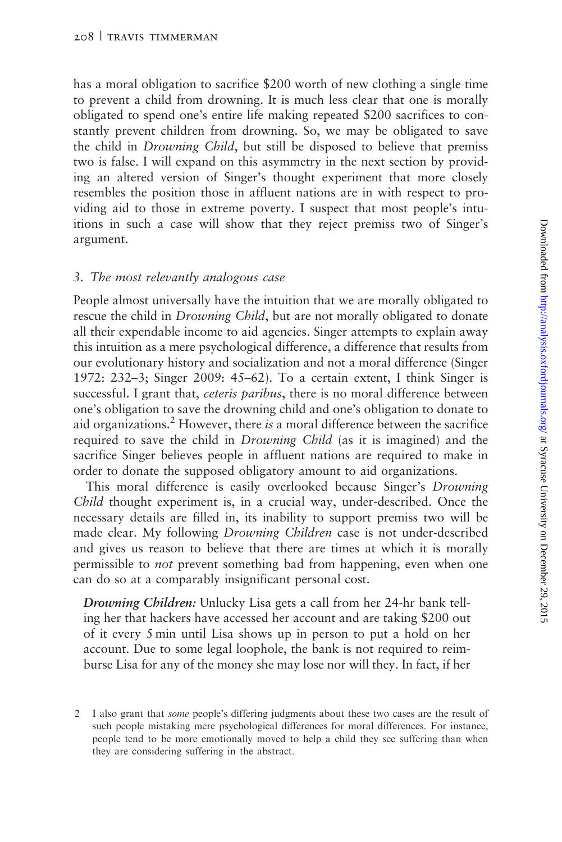has a moral obligation to sacrifice \$200 worth of new clothing a single time to prevent a child from drowning. It is much less clear that one is morally obligated to spend one's entire life making repeated \$200 sacrifices to constantly prevent children from drowning. So, we may be obligated to save the child in *Drowning Child*, but still be disposed to believe that premiss two is false. I will expand on this asymmetry in the next section by providing an altered version of Singer's thought experiment that more closely resembles the position those in affluent nations are in with respect to providing aid to those in extreme poverty. I suspect that most people's intuitions in such a case will show that they reject premiss two of Singer's argument.

## 3. The most relevantly analogous case

People almost universally have the intuition that we are morally obligated to rescue the child in Drowning Child, but are not morally obligated to donate all their expendable income to aid agencies. Singer attempts to explain away this intuition as a mere psychological difference, a difference that results from our evolutionary history and socialization and not a moral difference [\(Singer](#page-8-0) [1972:](#page-8-0) 232–3; [Singer 2009](#page-8-0): 45–62). To a certain extent, I think Singer is successful. I grant that, *ceteris paribus*, there is no moral difference between one's obligation to save the drowning child and one's obligation to donate to aid organizations.<sup>2</sup> However, there is a moral difference between the sacrifice required to save the child in Drowning Child (as it is imagined) and the sacrifice Singer believes people in affluent nations are required to make in order to donate the supposed obligatory amount to aid organizations.

This moral difference is easily overlooked because Singer's Drowning Child thought experiment is, in a crucial way, under-described. Once the necessary details are filled in, its inability to support premiss two will be made clear. My following Drowning Children case is not under-described and gives us reason to believe that there are times at which it is morally permissible to not prevent something bad from happening, even when one can do so at a comparably insignificant personal cost.

Drowning Children: Unlucky Lisa gets a call from her 24-hr bank telling her that hackers have accessed her account and are taking \$200 out of it every 5 min until Lisa shows up in person to put a hold on her account. Due to some legal loophole, the bank is not required to reimburse Lisa for any of the money she may lose nor will they. In fact, if her

<sup>2</sup> I also grant that *some* people's differing judgments about these two cases are the result of such people mistaking mere psychological differences for moral differences. For instance, people tend to be more emotionally moved to help a child they see suffering than when they are considering suffering in the abstract.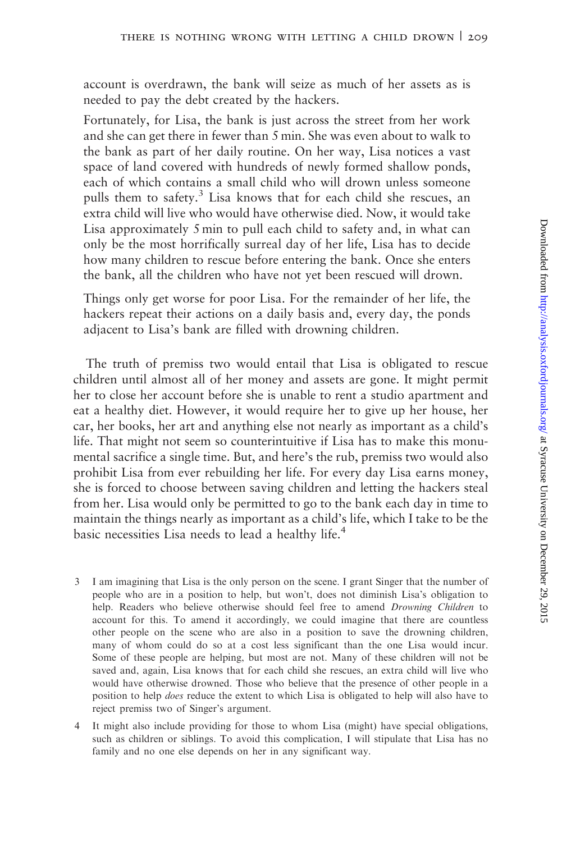account is overdrawn, the bank will seize as much of her assets as is needed to pay the debt created by the hackers.

Fortunately, for Lisa, the bank is just across the street from her work and she can get there in fewer than 5 min. She was even about to walk to the bank as part of her daily routine. On her way, Lisa notices a vast space of land covered with hundreds of newly formed shallow ponds, each of which contains a small child who will drown unless someone pulls them to safety.<sup>3</sup> Lisa knows that for each child she rescues, an extra child will live who would have otherwise died. Now, it would take Lisa approximately 5 min to pull each child to safety and, in what can only be the most horrifically surreal day of her life, Lisa has to decide how many children to rescue before entering the bank. Once she enters the bank, all the children who have not yet been rescued will drown.

Things only get worse for poor Lisa. For the remainder of her life, the hackers repeat their actions on a daily basis and, every day, the ponds adjacent to Lisa's bank are filled with drowning children.

The truth of premiss two would entail that Lisa is obligated to rescue children until almost all of her money and assets are gone. It might permit her to close her account before she is unable to rent a studio apartment and eat a healthy diet. However, it would require her to give up her house, her car, her books, her art and anything else not nearly as important as a child's life. That might not seem so counterintuitive if Lisa has to make this monumental sacrifice a single time. But, and here's the rub, premiss two would also prohibit Lisa from ever rebuilding her life. For every day Lisa earns money, she is forced to choose between saving children and letting the hackers steal from her. Lisa would only be permitted to go to the bank each day in time to maintain the things nearly as important as a child's life, which I take to be the basic necessities Lisa needs to lead a healthy life.<sup>4</sup>

- 3 I am imagining that Lisa is the only person on the scene. I grant Singer that the number of people who are in a position to help, but won't, does not diminish Lisa's obligation to help. Readers who believe otherwise should feel free to amend *Drowning Children* to account for this. To amend it accordingly, we could imagine that there are countless other people on the scene who are also in a position to save the drowning children, many of whom could do so at a cost less significant than the one Lisa would incur. Some of these people are helping, but most are not. Many of these children will not be saved and, again, Lisa knows that for each child she rescues, an extra child will live who would have otherwise drowned. Those who believe that the presence of other people in a position to help does reduce the extent to which Lisa is obligated to help will also have to reject premiss two of Singer's argument.
- It might also include providing for those to whom Lisa (might) have special obligations, such as children or siblings. To avoid this complication, I will stipulate that Lisa has no family and no one else depends on her in any significant way.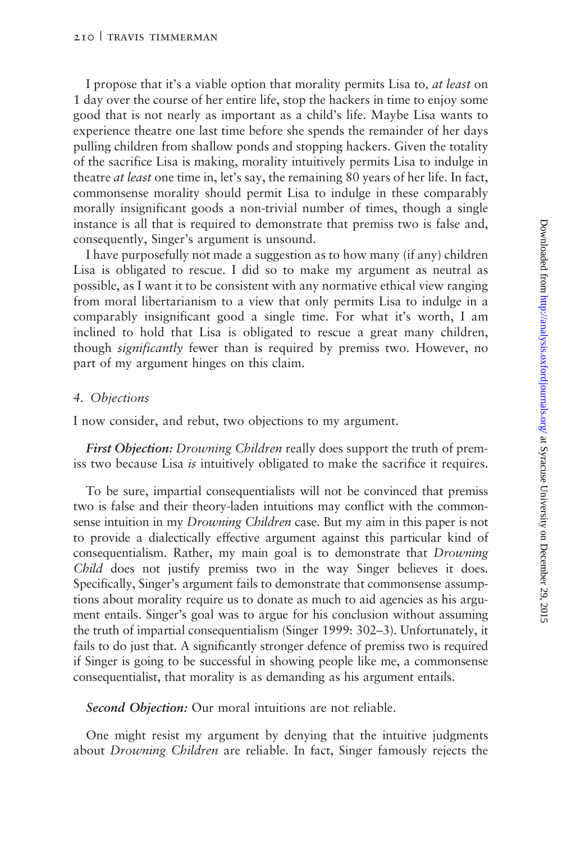I propose that it's a viable option that morality permits Lisa to, at least on 1 day over the course of her entire life, stop the hackers in time to enjoy some good that is not nearly as important as a child's life. Maybe Lisa wants to experience theatre one last time before she spends the remainder of her days pulling children from shallow ponds and stopping hackers. Given the totality of the sacrifice Lisa is making, morality intuitively permits Lisa to indulge in theatre at least one time in, let's say, the remaining 80 years of her life. In fact, commonsense morality should permit Lisa to indulge in these comparably morally insignificant goods a non-trivial number of times, though a single instance is all that is required to demonstrate that premiss two is false and, consequently, Singer's argument is unsound.

I have purposefully not made a suggestion as to how many (if any) children Lisa is obligated to rescue. I did so to make my argument as neutral as possible, as I want it to be consistent with any normative ethical view ranging from moral libertarianism to a view that only permits Lisa to indulge in a comparably insignificant good a single time. For what it's worth, I am inclined to hold that Lisa is obligated to rescue a great many children, though *significantly* fewer than is required by premiss two. However, no part of my argument hinges on this claim.

## 4. Objections

I now consider, and rebut, two objections to my argument.

First Objection: Drowning Children really does support the truth of premiss two because Lisa *is* intuitively obligated to make the sacrifice it requires.

To be sure, impartial consequentialists will not be convinced that premiss two is false and their theory-laden intuitions may conflict with the commonsense intuition in my *Drowning Children* case. But my aim in this paper is not to provide a dialectically effective argument against this particular kind of consequentialism. Rather, my main goal is to demonstrate that Drowning Child does not justify premiss two in the way Singer believes it does. Specifically, Singer's argument fails to demonstrate that commonsense assumptions about morality require us to donate as much to aid agencies as his argument entails. Singer's goal was to argue for his conclusion without assuming the truth of impartial consequentialism [\(Singer 1999](#page-8-0): 302–3). Unfortunately, it fails to do just that. A significantly stronger defence of premiss two is required if Singer is going to be successful in showing people like me, a commonsense consequentialist, that morality is as demanding as his argument entails.

Second Objection: Our moral intuitions are not reliable.

One might resist my argument by denying that the intuitive judgments about Drowning Children are reliable. In fact, Singer famously rejects the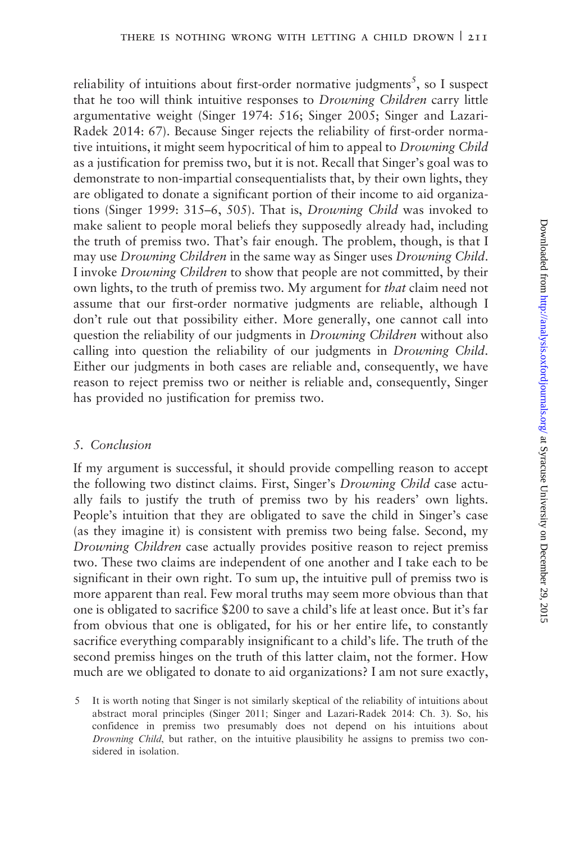reliability of intuitions about first-order normative judgments<sup>5</sup>, so I suspect that he too will think intuitive responses to Drowning Children carry little argumentative weight [\(Singer 1974](#page-8-0): 516; [Singer 2005; Singer and Lazari-](#page-8-0)[Radek 2014:](#page-8-0) 67). Because Singer rejects the reliability of first-order normative intuitions, it might seem hypocritical of him to appeal to *Drowning Child* as a justification for premiss two, but it is not. Recall that Singer's goal was to demonstrate to non-impartial consequentialists that, by their own lights, they are obligated to donate a significant portion of their income to aid organizations ([Singer 1999:](#page-8-0) 315–6, 505). That is, Drowning Child was invoked to make salient to people moral beliefs they supposedly already had, including the truth of premiss two. That's fair enough. The problem, though, is that I may use *Drowning Children* in the same way as Singer uses *Drowning Child*. I invoke Drowning Children to show that people are not committed, by their own lights, to the truth of premiss two. My argument for that claim need not assume that our first-order normative judgments are reliable, although I don't rule out that possibility either. More generally, one cannot call into question the reliability of our judgments in *Drowning Children* without also calling into question the reliability of our judgments in Drowning Child. Either our judgments in both cases are reliable and, consequently, we have reason to reject premiss two or neither is reliable and, consequently, Singer has provided no justification for premiss two.

### 5. Conclusion

If my argument is successful, it should provide compelling reason to accept the following two distinct claims. First, Singer's Drowning Child case actually fails to justify the truth of premiss two by his readers' own lights. People's intuition that they are obligated to save the child in Singer's case (as they imagine it) is consistent with premiss two being false. Second, my Drowning Children case actually provides positive reason to reject premiss two. These two claims are independent of one another and I take each to be significant in their own right. To sum up, the intuitive pull of premiss two is more apparent than real. Few moral truths may seem more obvious than that one is obligated to sacrifice \$200 to save a child's life at least once. But it's far from obvious that one is obligated, for his or her entire life, to constantly sacrifice everything comparably insignificant to a child's life. The truth of the second premiss hinges on the truth of this latter claim, not the former. How much are we obligated to donate to aid organizations? I am not sure exactly,

<sup>5</sup> It is worth noting that Singer is not similarly skeptical of the reliability of intuitions about abstract moral principles ([Singer 2011](#page-8-0); [Singer and Lazari-Radek 2014:](#page-8-0) Ch. 3). So, his confidence in premiss two presumably does not depend on his intuitions about Drowning Child, but rather, on the intuitive plausibility he assigns to premiss two considered in isolation.